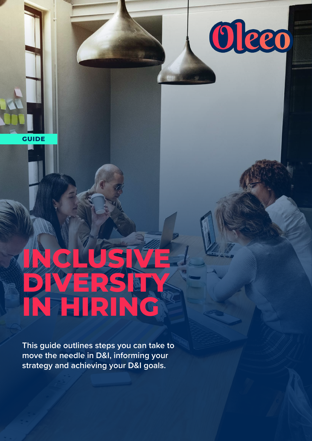

**GUIDE**

# **INCLUSIVE DIVERSITY IN HIRING**

**This guide outlines steps you can take to move the needle in D&I, informing your strategy and achieving your D&I goals.**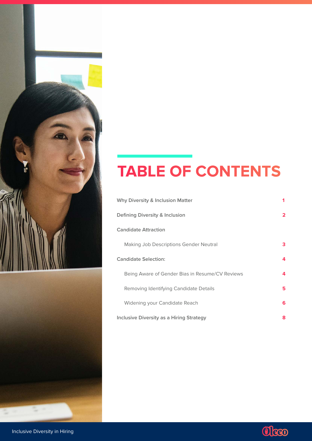

# **TABLE OF CONTENTS**

| <b>Why Diversity &amp; Inclusion Matter</b>     | 1 |
|-------------------------------------------------|---|
| Defining Diversity & Inclusion                  | 2 |
| <b>Candidate Attraction</b>                     |   |
| Making Job Descriptions Gender Neutral          | З |
| <b>Candidate Selection:</b>                     | 4 |
| Being Aware of Gender Bias in Resume/CV Reviews | 4 |
| Removing Identifying Candidate Details          | 5 |
| Widening your Candidate Reach                   | 6 |
| Inclusive Diversity as a Hiring Strategy        | 8 |

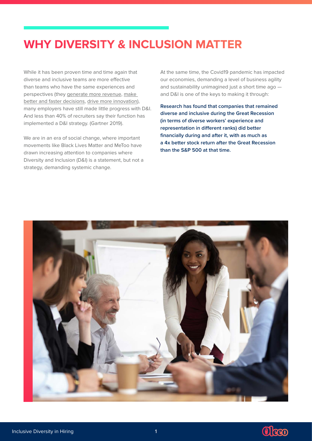# <span id="page-2-0"></span>**WHY DIVERSITY & INCLUSION MATTER**

While it has been proven time and time again that diverse and inclusive teams are more effective than teams who have the same experiences and perspectives (they [generate more revenue](https://www.mckinsey.com/featured-insights/diversity-and-inclusion/diversity-wins-how-inclusion-matters), [make](https://www.cloverpop.com/hubfs/Whitepapers/Cloverpop_Hacking_Diversity_Inclusive_Decision_Making_White_Paper.pdf)  [better and faster decisions,](https://www.cloverpop.com/hubfs/Whitepapers/Cloverpop_Hacking_Diversity_Inclusive_Decision_Making_White_Paper.pdf) [drive more innovation\)](https://hbr.org/2018/01/how-and-where-diversity-drives-financial-performance), many employers have still made little progress with D&I. And less than 40% of recruiters say their function has implemented a D&I strategy. (Gartner 2019).

We are in an era of social change, where important movements like Black Lives Matter and MeToo have drawn increasing attention to companies where Diversity and Inclusion (D&I) is a statement, but not a strategy, demanding systemic change.

At the same time, the Covid19 pandemic has impacted our economies, demanding a level of business agility and sustainability unimagined just a short time ago and D&I is one of the keys to making it through:

**Research has found that companies that remained diverse and inclusive during the Great Recession (in terms of diverse workers' experience and representation in different ranks) did better financially during and after it, with as much as a 4x better stock return after the Great Recession than the S&P 500 at that time.** 



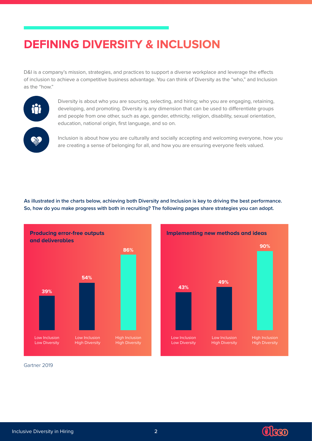# <span id="page-3-0"></span>**DEFINING DIVERSITY & INCLUSION**

D&I is a company's mission, strategies, and practices to support a diverse workplace and leverage the effects of inclusion to achieve a competitive business advantage. You can think of Diversity as the "who," and Inclusion as the "how."



Diversity is about who you are sourcing, selecting, and hiring; who you are engaging, retaining, developing, and promoting. Diversity is any dimension that can be used to differentiate groups and people from one other, such as age, gender, ethnicity, religion, disability, sexual orientation, education, national origin, first language, and so on.

Inclusion is about how you are culturally and socially accepting and welcoming everyone, how you are creating a sense of belonging for all, and how you are ensuring everyone feels valued.

**As illustrated in the charts below, achieving both Diversity and Inclusion is key to driving the best performance. So, how do you make progress with both in recruiting? The following pages share strategies you can adopt.**





Gartner 2019

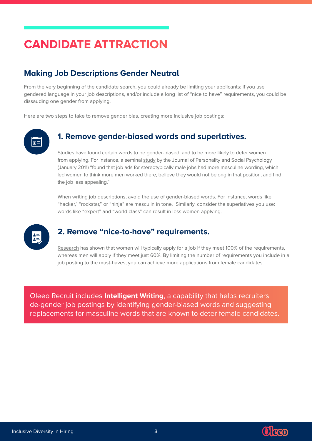# <span id="page-4-0"></span>**CANDIDATE ATTRACTION**

## **Making Job Descriptions Gender Neutral**

From the very beginning of the candidate search, you could already be limiting your applicants: if you use gendered language in your job descriptions, and/or include a long list of "nice to have" requirements, you could be dissauding one gender from applying.

Here are two steps to take to remove gender bias, creating more inclusive job postings:

# $\overline{\mathbf{p}}$

### **1. Remove gender-biased words and superlatives.**

Studies have found certain words to be gender-biased, and to be more likely to deter women from applying. For instance, a seminal [study](https://gap.hks.harvard.edu/evidence-gendered-wording-job-advertisements-exists-and-sustains-gender-inequality) by the Journal of Personality and Social Psychology (January 2011) "found that job ads for stereotypically male jobs had more masculine wording, which led women to think more men worked there, believe they would not belong in that position, and find the job less appealing."

When writing job descriptions, avoid the use of gender-biased words. For instance, words like "hacker," "rockstar," or "ninja" are masculin in tone. Similarly, consider the superlatives you use: words like "expert" and "world class" can result in less women applying.



## **2. Remove "nice-to-have" requirements.**

[Research](https://hbr.org/2014/08/why-women-dont-apply-for-jobs-unless-theyre-100-qualified) has shown that women will typically apply for a job if they meet 100% of the requirements, whereas men will apply if they meet just 60%. By limiting the number of requirements you include in a job posting to the must-haves, you can achieve more applications from female candidates.

Oleeo Recruit includes **Intelligent Writing**, a capability that helps recruiters de-gender job postings by identifying gender-biased words and suggesting replacements for masculine words that are known to deter female candidates.



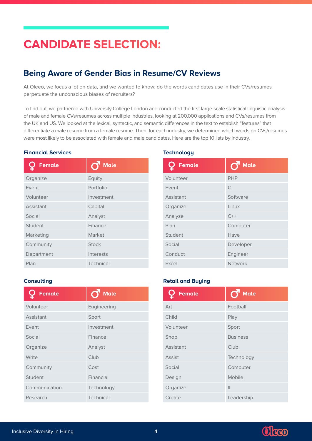# <span id="page-5-0"></span>**CANDIDATE SELECTION:**

## **Being Aware of Gender Bias in Resume/CV Reviews**

At Oleeo, we focus a lot on data, and we wanted to know: do the words candidates use in their CVs/resumes perpetuate the unconscious biases of recruiters?

To find out, we partnered with University College London and conducted the first large-scale statistical linguistic analysis of male and female CVs/resumes across multiple industries, looking at 200,000 applications and CVs/resumes from the UK and US. We looked at the lexical, syntactic, and semantic differences in the text to establish "features" that differentiate a male resume from a female resume. Then, for each industry, we determined which words on CVs/resumes were most likely to be associated with female and male candidates. Here are the top 10 lists by industry.

#### **Financial Services**

| Female     | <b>Male</b>  |
|------------|--------------|
| Organize   | Equity       |
| Event      | Portfolio    |
| Volunteer  | Investment   |
| Assistant  | Capital      |
| Social     | Analyst      |
| Student    | Finance      |
| Marketing  | Market       |
| Community  | <b>Stock</b> |
| Department | Interests    |
| Plan       | Technical    |

#### **Technology**

| <b>Female</b> | <b>Male</b>    |
|---------------|----------------|
| Volunteer     | <b>PHP</b>     |
| Event         | C              |
| Assistant     | Software       |
| Organize      | Linux          |
| Analyze       | $C++$          |
| Plan          | Computer       |
| Student       | Have           |
| Social        | Developer      |
| Conduct       | Engineer       |
| Excel         | <b>Network</b> |

#### **Retail and Buying**

| <b>Female</b> | <b>Male</b>     |
|---------------|-----------------|
| Art           | Football        |
| Child         | Play            |
| Volunteer     | Sport           |
| Shop          | <b>Business</b> |
| Assistant     | Club            |
| <b>Assist</b> | Technology      |
| Social        | Computer        |
| Design        | Mobile          |
| Organize      | It              |
| Create        | Leadership      |

#### **Consulting**

| <b>Female</b> | <b>Male</b> |
|---------------|-------------|
| Volunteer     | Engineering |
| Assistant     | Sport       |
| Event         | Investment  |
| Social        | Finance     |
| Organize      | Analyst     |
| Write         | Club        |
| Community     | Cost        |
| Student       | Financial   |
| Communication | Technology  |
| Research      | Technical   |

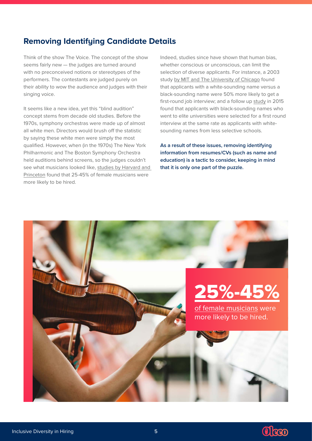## <span id="page-6-0"></span>**Removing Identifying Candidate Details**

Think of the show The Voice. The concept of the show seems fairly new — the judges are turned around with no preconceived notions or stereotypes of the performers. The contestants are judged purely on their ability to wow the audience and judges with their singing voice.

It seems like a new idea, yet this "blind audition" concept stems from decade old studies. Before the 1970s, symphony orchestras were made up of almost all white men. Directors would brush off the statistic by saying these white men were simply the most qualified. However, when (in the 1970s) The New York Philharmonic and The Boston Symphony Orchestra held auditions behind screens, so the judges couldn't see what musicians looked like, [studies by Harvard and](https://www.forbes.com/sites/forbeshumanresourcescouncil/2018/04/03/the-benefits-and-shortcomings-of-blind-hiring-in-the-recruitment-process/#5cf6362b38a3)  [Princeton](https://www.forbes.com/sites/forbeshumanresourcescouncil/2018/04/03/the-benefits-and-shortcomings-of-blind-hiring-in-the-recruitment-process/#5cf6362b38a3) found that 25-45% of female musicians were more likely to be hired.

Indeed, studies since have shown that human bias, whether conscious or unconscious, can limit the selection of diverse applicants. For instance, a 2003 study [by MIT and The University of Chicago](https://cos.gatech.edu/facultyres/Diversity_Studies/Bertrand_LakishaJamal.pdf) found that applicants with a white-sounding name versus a black-sounding name were 50% more likely to get a first-round job interview; and a follow up [study](https://academic.oup.com/sf/article/93/4/1451/2332119) in 2015 found that applicants with black-sounding names who went to elite universities were selected for a first round interview at the same rate as applicants with whitesounding names from less selective schools.

**As a result of these issues, removing identifying information from resumes/CVs (such as name and education) is a tactic to consider, keeping in mind that it is only one part of the puzzle.**



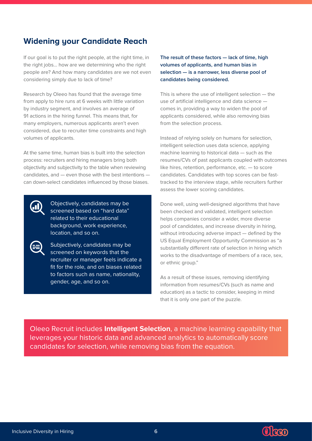## <span id="page-7-0"></span>**Widening your Candidate Reach**

If our goal is to put the right people, at the right time, in the right jobs... how are we determining who the right people are? And how many candidates are we not even considering simply due to lack of time?

Research by Oleeo has found that the average time from apply to hire runs at 6 weeks with little variation by industry segment, and involves an average of 91 actions in the hiring funnel. This means that, for many employers, numerous applicants aren't even considered, due to recruiter time constraints and high volumes of applicants.

At the same time, human bias is built into the selection process: recruiters and hiring managers bring both objectivity and subjectivity to the table when reviewing candidates, and — even those with the best intentions can down-select candidates influenced by those biases.

> Objectively, candidates may be screened based on "hard data" related to their educational background, work experience, location, and so on.



Subjectively, candidates may be screened on keywords that the recruiter or manager feels indicate a fit for the role, and on biases related to factors such as name, nationality, gender, age, and so on.

**The result of these factors — lack of time, high volumes of applicants, and human bias in selection — is a narrower, less diverse pool of candidates being considered.**

This is where the use of intelligent selection — the use of artificial intelligence and data science comes in, providing a way to widen the pool of applicants considered, while also removing bias from the selection process.

Instead of relying solely on humans for selection, intelligent selection uses data science, applying machine learning to historical data — such as the resumes/CVs of past applicants coupled with outcomes like hires, retention, performance, etc. — to score candidates. Candidates with top scores can be fasttracked to the interview stage, while recruiters further assess the lower scoring candidates.

Done well, using well-designed algorithms that have been checked and validated, intelligent selection helps companies consider a wider, more diverse pool of candidates, and increase diversity in hiring, without introducing adverse impact — defined by the US Equal Employment Opportunity Commission as "a substantially different rate of selection in hiring which works to the disadvantage of members of a race, sex, or ethnic group."

As a result of these issues, removing identifying information from resumes/CVs (such as name and education) as a tactic to consider, keeping in mind that it is only one part of the puzzle.

Oleeo Recruit includes **Intelligent Selection**, a machine learning capability that leverages your historic data and advanced analytics to automatically score candidates for selection, while removing bias from the equation.

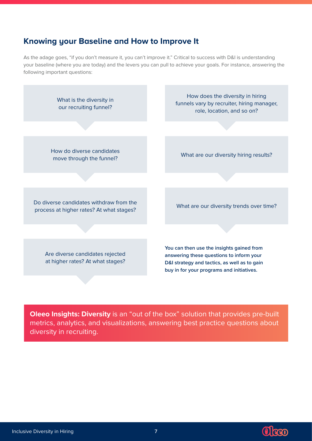## **Knowing your Baseline and How to Improve It**

As the adage goes, "if you don't measure it, you can't improve it." Critical to success with D&I is understanding your baseline (where you are today) and the levers you can pull to achieve your goals. For instance, answering the following important questions:



**Oleeo Insights: Diversity** is an "out of the box" solution that provides pre-built metrics, analytics, and visualizations, answering best practice questions about diversity in recruiting.



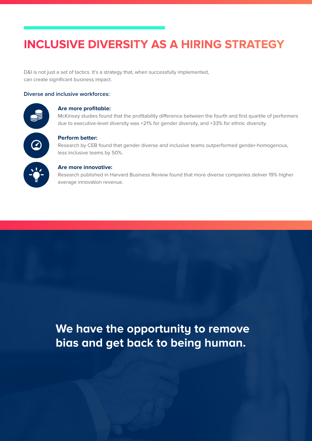# <span id="page-9-0"></span>**INCLUSIVE DIVERSITY AS A HIRING STRATEGY**

D&I is not just a set of tactics. It's a strategy that, when successfully implemented, can create significant business impact.

#### **Diverse and inclusive workforces:**

#### **Are more profitable:**

McKinsey studies found that the profitability difference between the fourth and first quartile of performers due to executive-level diversity was +21% for gender diversity, and +33% for ethnic diversity.



#### **Perform better:**

Research by CEB found that gender diverse and inclusive teams outperformed gender-homogenous, less inclusive teams by 50%.

#### **Are more innovative:**

Research published in Harvard Business Review found that more diverse companies deliver 19% higher average innovation revenue.

# **We have the opportunity to remove bias and get back to being human.**